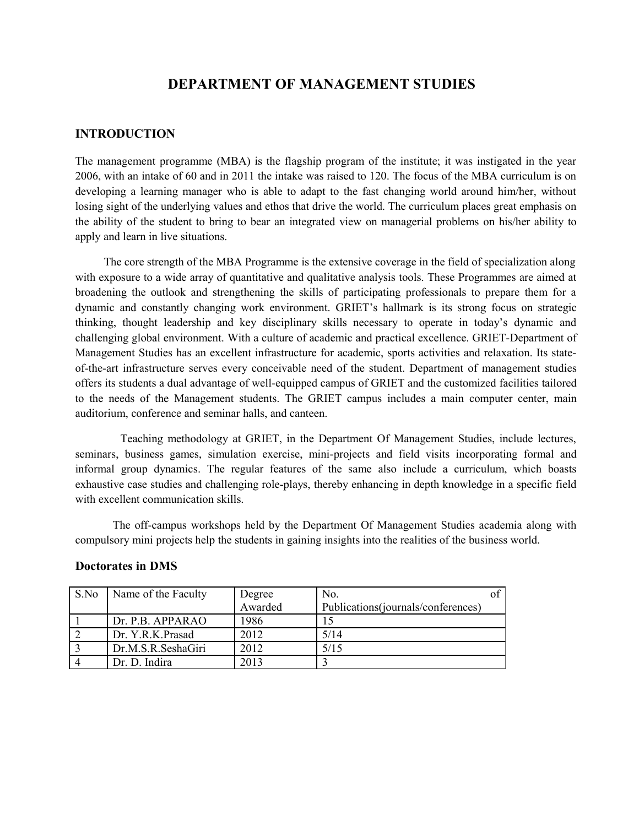# **DEPARTMENT OF MANAGEMENT STUDIES**

### **INTRODUCTION**

The management programme (MBA) is the flagship program of the institute; it was instigated in the year 2006, with an intake of 60 and in 2011 the intake was raised to 120. The focus of the MBA curriculum is on developing a learning manager who is able to adapt to the fast changing world around him/her, without losing sight of the underlying values and ethos that drive the world. The curriculum places great emphasis on the ability of the student to bring to bear an integrated view on managerial problems on his/her ability to apply and learn in live situations.

 The core strength of the MBA Programme is the extensive coverage in the field of specialization along with exposure to a wide array of quantitative and qualitative analysis tools. These Programmes are aimed at broadening the outlook and strengthening the skills of participating professionals to prepare them for a dynamic and constantly changing work environment. GRIET's hallmark is its strong focus on strategic thinking, thought leadership and key disciplinary skills necessary to operate in today's dynamic and challenging global environment. With a culture of academic and practical excellence. GRIET-Department of Management Studies has an excellent infrastructure for academic, sports activities and relaxation. Its stateof-the-art infrastructure serves every conceivable need of the student. Department of management studies offers its students a dual advantage of well-equipped campus of GRIET and the customized facilities tailored to the needs of the Management students. The GRIET campus includes a main computer center, main auditorium, conference and seminar halls, and canteen.

 Teaching methodology at GRIET, in the Department Of Management Studies, include lectures, seminars, business games, simulation exercise, mini-projects and field visits incorporating formal and informal group dynamics. The regular features of the same also include a curriculum, which boasts exhaustive case studies and challenging role-plays, thereby enhancing in depth knowledge in a specific field with excellent communication skills.

 The off-campus workshops held by the Department Of Management Studies academia along with compulsory mini projects help the students in gaining insights into the realities of the business world.

| S.No | Name of the Faculty | Degree  | No.                                |  |
|------|---------------------|---------|------------------------------------|--|
|      |                     | Awarded | Publications(journals/conferences) |  |
|      | Dr. P.B. APPARAO    | 1986    |                                    |  |
|      | Dr. Y.R.K.Prasad    | 2012    | 5/14                               |  |
|      | Dr.M.S.R.SeshaGiri  | 2012    | 5/15                               |  |
|      | Dr. D. Indira       | 2013    |                                    |  |

### **Doctorates in DMS**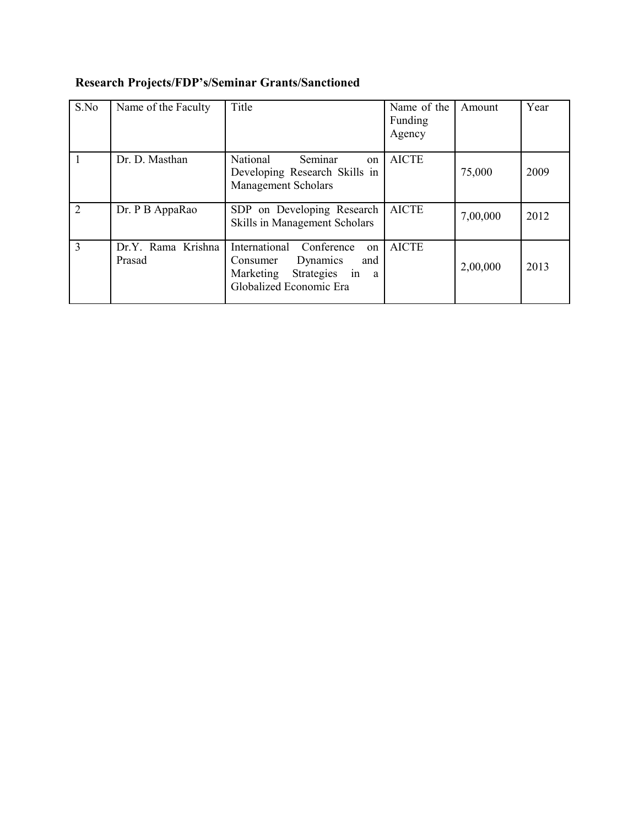| S.No | Name of the Faculty          | Title                                                                                                                                            | Name of the<br>Funding<br>Agency | Amount   | Year |
|------|------------------------------|--------------------------------------------------------------------------------------------------------------------------------------------------|----------------------------------|----------|------|
|      | Dr. D. Masthan               | National<br>Seminar<br>on<br>Developing Research Skills in<br><b>Management Scholars</b>                                                         | <b>AICTE</b>                     | 75,000   | 2009 |
| 2    | Dr. P B AppaRao              | SDP on Developing Research<br>Skills in Management Scholars                                                                                      | <b>AICTE</b>                     | 7,00,000 | 2012 |
| 3    | Dr.Y. Rama Krishna<br>Prasad | International Conference<br>on <sub>1</sub><br>Dynamics<br>Consumer<br>and<br>Marketing Strategies in<br><sup>a</sup><br>Globalized Economic Era | <b>AICTE</b>                     | 2,00,000 | 2013 |

# **Research Projects/FDP's/Seminar Grants/Sanctioned**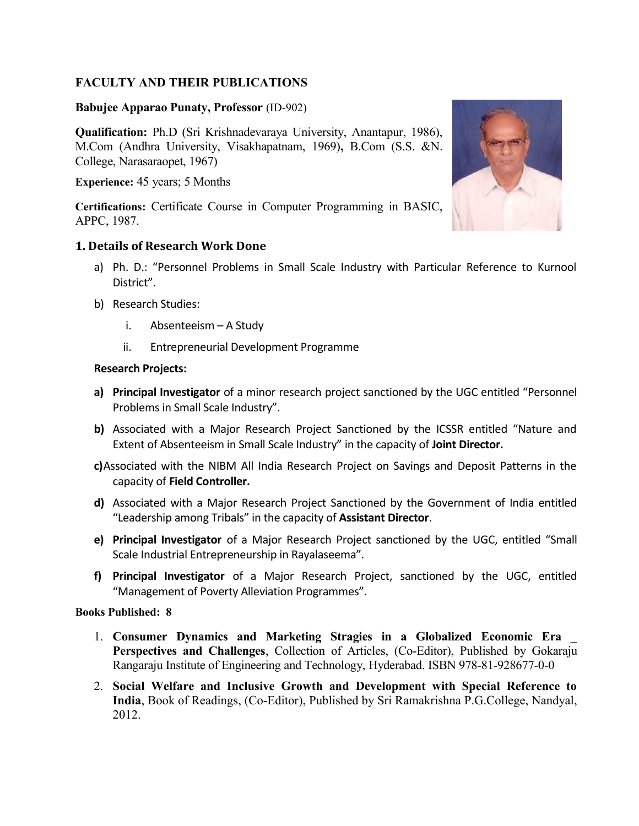# **FACULTY AND THEIR PUBLICATIONS**

### **Babujee Apparao Punaty, Professor** (ID-902)

**Qualification:** Ph.D (Sri Krishnadevaraya University, Anantapur, 1986), M.Com (Andhra University, Visakhapatnam, 1969)**,** B.Com (S.S. &N. College, Narasaraopet, 1967)

**Experience:** 45 years; 5 Months

**Certifications:** Certificate Course in Computer Programming in BASIC, APPC, 1987.

# **1. Details of Research Work Done**

- a) Ph. D.: "Personnel Problems in Small Scale Industry with Particular Reference to Kurnool District".
- b) Research Studies:
	- i. Absenteeism A Study
	- ii. Entrepreneurial Development Programme

### **Research Projects:**

- **a) Principal Investigator** of a minor research project sanctioned by the UGC entitled "Personnel Problems in Small Scale Industry".
- **b)** Associated with a Major Research Project Sanctioned by the ICSSR entitled "Nature and Extent of Absenteeism in Small Scale Industry" in the capacity of **Joint Director.**
- **c)**Associated with the NIBM All India Research Project on Savings and Deposit Patterns in the capacity of **Field Controller.**
- **d)** Associated with a Major Research Project Sanctioned by the Government of India entitled "Leadership among Tribals" in the capacity of **Assistant Director**.
- **e) Principal Investigator** of a Major Research Project sanctioned by the UGC, entitled "Small Scale Industrial Entrepreneurship in Rayalaseema".
- **f) Principal Investigator** of a Major Research Project, sanctioned by the UGC, entitled "Management of Poverty Alleviation Programmes".

### **Books Published: 8**

- 1. **Consumer Dynamics and Marketing Stragies in a Globalized Economic Era \_ Perspectives and Challenges**, Collection of Articles, (Co-Editor), Published by Gokaraju Rangaraju Institute of Engineering and Technology, Hyderabad. ISBN 978-81-928677-0-0
- 2. **Social Welfare and Inclusive Growth and Development with Special Reference to India**, Book of Readings, (Co-Editor), Published by Sri Ramakrishna P.G.College, Nandyal, 2012.

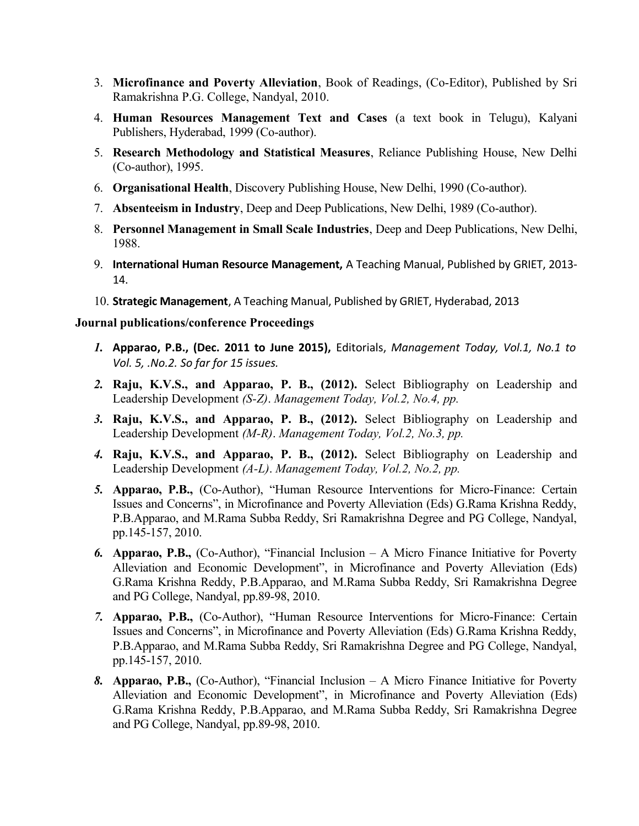- 3. **Microfinance and Poverty Alleviation**, Book of Readings, (Co-Editor), Published by Sri Ramakrishna P.G. College, Nandyal, 2010.
- 4. **Human Resources Management Text and Cases** (a text book in Telugu), Kalyani Publishers, Hyderabad, 1999 (Co-author).
- 5. **Research Methodology and Statistical Measures**, Reliance Publishing House, New Delhi (Co-author), 1995.
- 6. **Organisational Health**, Discovery Publishing House, New Delhi, 1990 (Co-author).
- 7. **Absenteeism in Industry**, Deep and Deep Publications, New Delhi, 1989 (Co-author).
- 8. **Personnel Management in Small Scale Industries**, Deep and Deep Publications, New Delhi, 1988.
- 9. **International Human Resource Management,** A Teaching Manual, Published by GRIET, 2013- 14.
- 10. **Strategic Management**, A Teaching Manual, Published by GRIET, Hyderabad, 2013

### **Journal publications/conference Proceedings**

- *1.* **Apparao, P.B., (Dec. 2011 to June 2015),** Editorials, *Management Today, Vol.1, No.1 to Vol. 5, .No.2. So far for 15 issues.*
- *2.* **Raju, K.V.S., and Apparao, P. B., (2012).** Select Bibliography on Leadership and Leadership Development *(S-Z)*. *Management Today, Vol.2, No.4, pp.*
- *3.* **Raju, K.V.S., and Apparao, P. B., (2012).** Select Bibliography on Leadership and Leadership Development *(M-R)*. *Management Today, Vol.2, No.3, pp.*
- *4.* **Raju, K.V.S., and Apparao, P. B., (2012).** Select Bibliography on Leadership and Leadership Development *(A-L)*. *Management Today, Vol.2, No.2, pp.*
- *5.* **Apparao, P.B.,** (Co-Author), "Human Resource Interventions for Micro-Finance: Certain Issues and Concerns", in Microfinance and Poverty Alleviation (Eds) G.Rama Krishna Reddy, P.B.Apparao, and M.Rama Subba Reddy, Sri Ramakrishna Degree and PG College, Nandyal, pp.145-157, 2010.
- *6.* **Apparao, P.B.,** (Co-Author), "Financial Inclusion A Micro Finance Initiative for Poverty Alleviation and Economic Development", in Microfinance and Poverty Alleviation (Eds) G.Rama Krishna Reddy, P.B.Apparao, and M.Rama Subba Reddy, Sri Ramakrishna Degree and PG College, Nandyal, pp.89-98, 2010.
- *7.* **Apparao, P.B.,** (Co-Author), "Human Resource Interventions for Micro-Finance: Certain Issues and Concerns", in Microfinance and Poverty Alleviation (Eds) G.Rama Krishna Reddy, P.B.Apparao, and M.Rama Subba Reddy, Sri Ramakrishna Degree and PG College, Nandyal, pp.145-157, 2010.
- *8.* **Apparao, P.B.,** (Co-Author), "Financial Inclusion A Micro Finance Initiative for Poverty Alleviation and Economic Development", in Microfinance and Poverty Alleviation (Eds) G.Rama Krishna Reddy, P.B.Apparao, and M.Rama Subba Reddy, Sri Ramakrishna Degree and PG College, Nandyal, pp.89-98, 2010.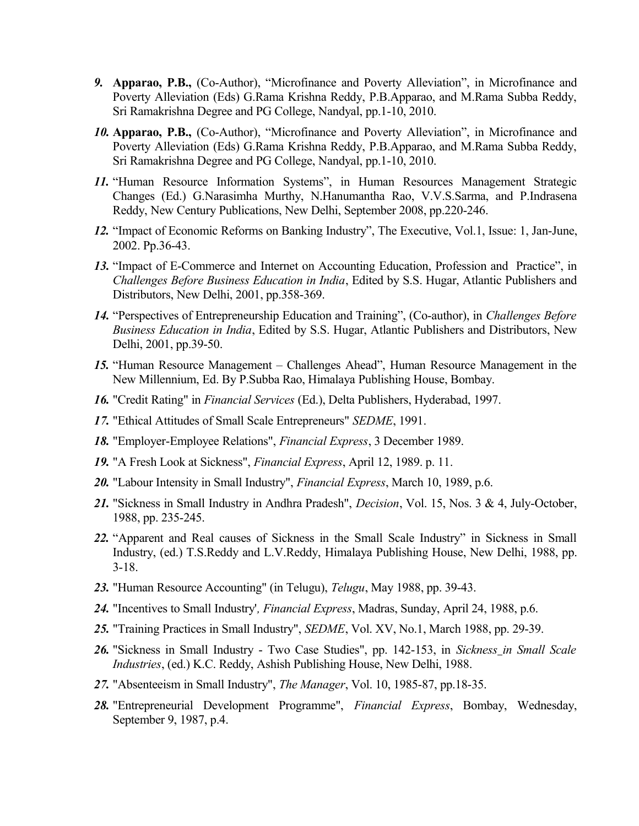- *9.* **Apparao, P.B.,** (Co-Author), "Microfinance and Poverty Alleviation", in Microfinance and Poverty Alleviation (Eds) G.Rama Krishna Reddy, P.B.Apparao, and M.Rama Subba Reddy, Sri Ramakrishna Degree and PG College, Nandyal, pp.1-10, 2010.
- *10.* **Apparao, P.B.,** (Co-Author), "Microfinance and Poverty Alleviation", in Microfinance and Poverty Alleviation (Eds) G.Rama Krishna Reddy, P.B.Apparao, and M.Rama Subba Reddy, Sri Ramakrishna Degree and PG College, Nandyal, pp.1-10, 2010.
- *11.* "Human Resource Information Systems", in Human Resources Management Strategic Changes (Ed.) G.Narasimha Murthy, N.Hanumantha Rao, V.V.S.Sarma, and P.Indrasena Reddy, New Century Publications, New Delhi, September 2008, pp.220-246.
- *12.* "Impact of Economic Reforms on Banking Industry", The Executive, Vol.1, Issue: 1, Jan-June, 2002. Pp.36-43.
- *13.* "Impact of E-Commerce and Internet on Accounting Education, Profession and Practice", in *Challenges Before Business Education in India*, Edited by S.S. Hugar, Atlantic Publishers and Distributors, New Delhi, 2001, pp.358-369.
- *14.* "Perspectives of Entrepreneurship Education and Training", (Co-author), in *Challenges Before Business Education in India*, Edited by S.S. Hugar, Atlantic Publishers and Distributors, New Delhi, 2001, pp.39-50.
- *15.* "Human Resource Management Challenges Ahead", Human Resource Management in the New Millennium, Ed. By P.Subba Rao, Himalaya Publishing House, Bombay.
- *16.* "Credit Rating" in *Financial Services* (Ed.), Delta Publishers, Hyderabad, 1997.
- *17.* "Ethical Attitudes of Small Scale Entrepreneurs" *SEDME*, 1991.
- *18.* "Employer-Employee Relations", *Financial Express*, 3 December 1989.
- *19.* "A Fresh Look at Sickness", *Financial Express*, April 12, 1989. p. 11.
- *20.* "Labour Intensity in Small Industry", *Financial Express*, March 10, 1989, p.6.
- *21.* "Sickness in Small Industry in Andhra Pradesh", *Decision*, Vol. 15, Nos. 3 & 4, July-October, 1988, pp. 235-245.
- *22.* "Apparent and Real causes of Sickness in the Small Scale Industry" in Sickness in Small Industry, (ed.) T.S.Reddy and L.V.Reddy, Himalaya Publishing House, New Delhi, 1988, pp. 3-18.
- *23.* "Human Resource Accounting" (in Telugu), *Telugu*, May 1988, pp. 39-43.
- *24.* "Incentives to Small Industry'*, Financial Express*, Madras, Sunday, April 24, 1988, p.6.
- *25.* "Training Practices in Small Industry", *SEDME*, Vol. XV, No.1, March 1988, pp. 29-39.
- *26.* "Sickness in Small Industry Two Case Studies", pp. 142-153, in *Sickness in Small Scale Industries*, (ed.) K.C. Reddy, Ashish Publishing House, New Delhi, 1988.
- *27.* "Absenteeism in Small Industry", *The Manager*, Vol. 10, 1985-87, pp.18-35.
- *28.* "Entrepreneurial Development Programme", *Financial Express*, Bombay, Wednesday, September 9, 1987, p.4.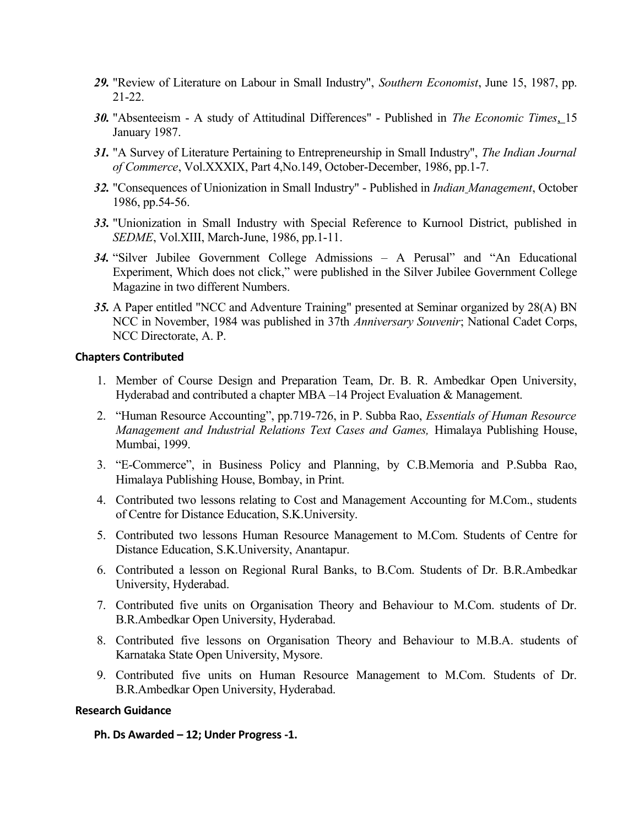- *29.* "Review of Literature on Labour in Small Industry", *Southern Economist*, June 15, 1987, pp. 21-22.
- *30.* "Absenteeism A study of Attitudinal Differences" Published in *The Economic Times*, 15 January 1987.
- *31.* "A Survey of Literature Pertaining to Entrepreneurship in Small Industry", *The Indian Journal of Commerce*, Vol.XXXIX, Part 4,No.149, October-December, 1986, pp.1-7.
- *32.* "Consequences of Unionization in Small Industry" Published in *Indian Management*, October 1986, pp.54-56.
- *33.* "Unionization in Small Industry with Special Reference to Kurnool District, published in *SEDME*, Vol.XIII, March-June, 1986, pp.1-11.
- *34.* "Silver Jubilee Government College Admissions A Perusal" and "An Educational Experiment, Which does not click," were published in the Silver Jubilee Government College Magazine in two different Numbers.
- *35.* A Paper entitled "NCC and Adventure Training" presented at Seminar organized by 28(A) BN NCC in November, 1984 was published in 37th *Anniversary Souvenir*; National Cadet Corps, NCC Directorate, A. P.

#### **Chapters Contributed**

- 1. Member of Course Design and Preparation Team, Dr. B. R. Ambedkar Open University, Hyderabad and contributed a chapter MBA –14 Project Evaluation & Management.
- 2. "Human Resource Accounting", pp.719-726, in P. Subba Rao, *Essentials of Human Resource Management and Industrial Relations Text Cases and Games,* Himalaya Publishing House, Mumbai, 1999.
- 3. "E-Commerce", in Business Policy and Planning, by C.B.Memoria and P.Subba Rao, Himalaya Publishing House, Bombay, in Print.
- 4. Contributed two lessons relating to Cost and Management Accounting for M.Com., students of Centre for Distance Education, S.K.University.
- 5. Contributed two lessons Human Resource Management to M.Com. Students of Centre for Distance Education, S.K.University, Anantapur.
- 6. Contributed a lesson on Regional Rural Banks, to B.Com. Students of Dr. B.R.Ambedkar University, Hyderabad.
- 7. Contributed five units on Organisation Theory and Behaviour to M.Com. students of Dr. B.R.Ambedkar Open University, Hyderabad.
- 8. Contributed five lessons on Organisation Theory and Behaviour to M.B.A. students of Karnataka State Open University, Mysore.
- 9. Contributed five units on Human Resource Management to M.Com. Students of Dr. B.R.Ambedkar Open University, Hyderabad.

#### **Research Guidance**

**Ph. Ds Awarded – 12; Under Progress -1.**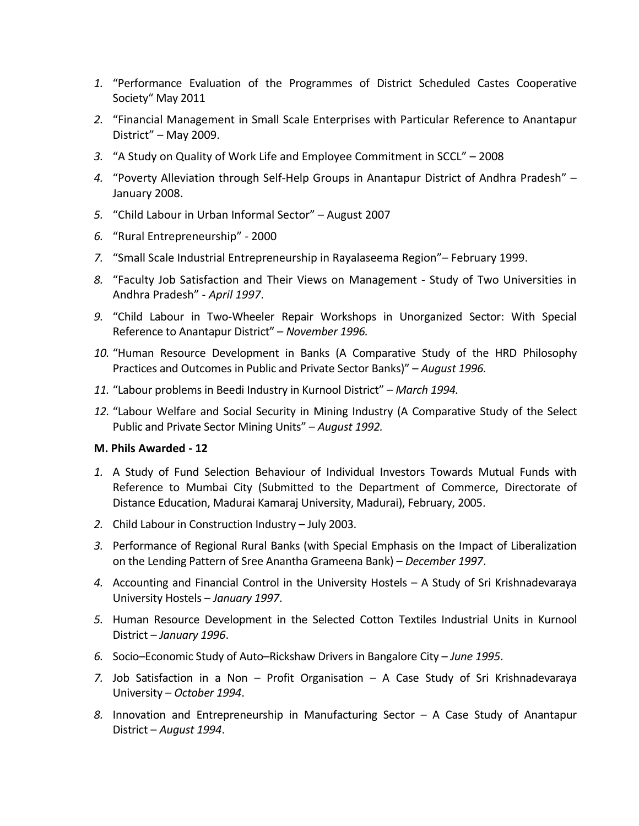- *1.* "Performance Evaluation of the Programmes of District Scheduled Castes Cooperative Society" May 2011
- *2.* "Financial Management in Small Scale Enterprises with Particular Reference to Anantapur District" – May 2009.
- *3.* "A Study on Quality of Work Life and Employee Commitment in SCCL" 2008
- *4.* "Poverty Alleviation through Self-Help Groups in Anantapur District of Andhra Pradesh" January 2008.
- *5.* "Child Labour in Urban Informal Sector" August 2007
- *6.* "Rural Entrepreneurship" 2000
- *7.* "Small Scale Industrial Entrepreneurship in Rayalaseema Region"– February 1999.
- *8.* "Faculty Job Satisfaction and Their Views on Management Study of Two Universities in Andhra Pradesh" - *April 1997*.
- *9.* "Child Labour in Two-Wheeler Repair Workshops in Unorganized Sector: With Special Reference to Anantapur District" – *November 1996.*
- *10.* "Human Resource Development in Banks (A Comparative Study of the HRD Philosophy Practices and Outcomes in Public and Private Sector Banks)" – *August 1996.*
- *11.* "Labour problems in Beedi Industry in Kurnool District" *March 1994.*
- *12.* "Labour Welfare and Social Security in Mining Industry (A Comparative Study of the Select Public and Private Sector Mining Units" – *August 1992.*

### **M. Phils Awarded - 12**

- *1.* A Study of Fund Selection Behaviour of Individual Investors Towards Mutual Funds with Reference to Mumbai City (Submitted to the Department of Commerce, Directorate of Distance Education, Madurai Kamaraj University, Madurai), February, 2005.
- *2.* Child Labour in Construction Industry July 2003.
- *3.* Performance of Regional Rural Banks (with Special Emphasis on the Impact of Liberalization on the Lending Pattern of Sree Anantha Grameena Bank) – *December 1997*.
- *4.* Accounting and Financial Control in the University Hostels A Study of Sri Krishnadevaraya University Hostels – *January 1997*.
- *5.* Human Resource Development in the Selected Cotton Textiles Industrial Units in Kurnool District – *January 1996*.
- *6.* Socio–Economic Study of Auto–Rickshaw Drivers in Bangalore City *June 1995*.
- *7.* Job Satisfaction in a Non Profit Organisation A Case Study of Sri Krishnadevaraya University – *October 1994*.
- *8.* Innovation and Entrepreneurship in Manufacturing Sector A Case Study of Anantapur District – *August 1994*.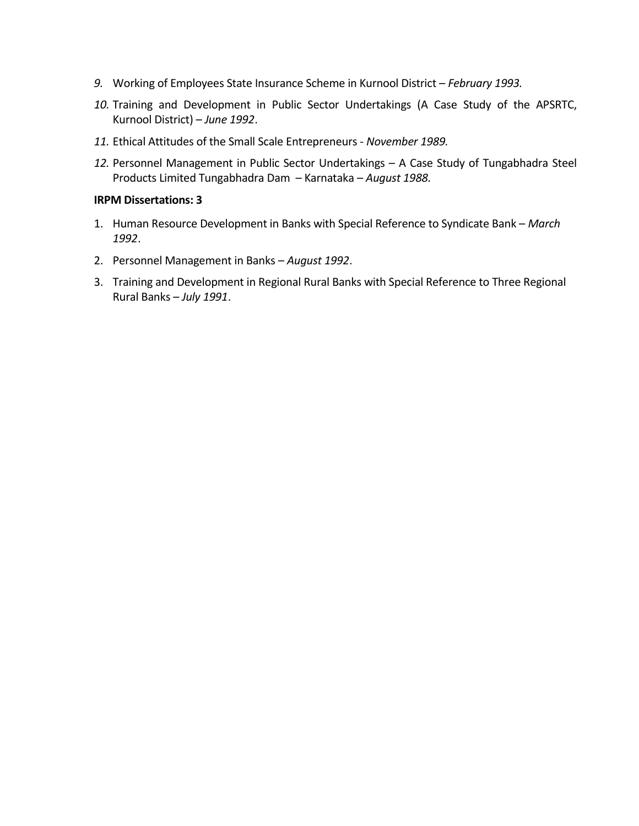- *9.* Working of Employees State Insurance Scheme in Kurnool District *February 1993.*
- *10.* Training and Development in Public Sector Undertakings (A Case Study of the APSRTC, Kurnool District) – *June 1992*.
- *11.* Ethical Attitudes of the Small Scale Entrepreneurs *November 1989.*
- *12.* Personnel Management in Public Sector Undertakings A Case Study of Tungabhadra Steel Products Limited Tungabhadra Dam – Karnataka – *August 1988.*

### **IRPM Dissertations: 3**

- 1. Human Resource Development in Banks with Special Reference to Syndicate Bank *March 1992*.
- 2. Personnel Management in Banks *August 1992*.
- 3. Training and Development in Regional Rural Banks with Special Reference to Three Regional Rural Banks – *July 1991*.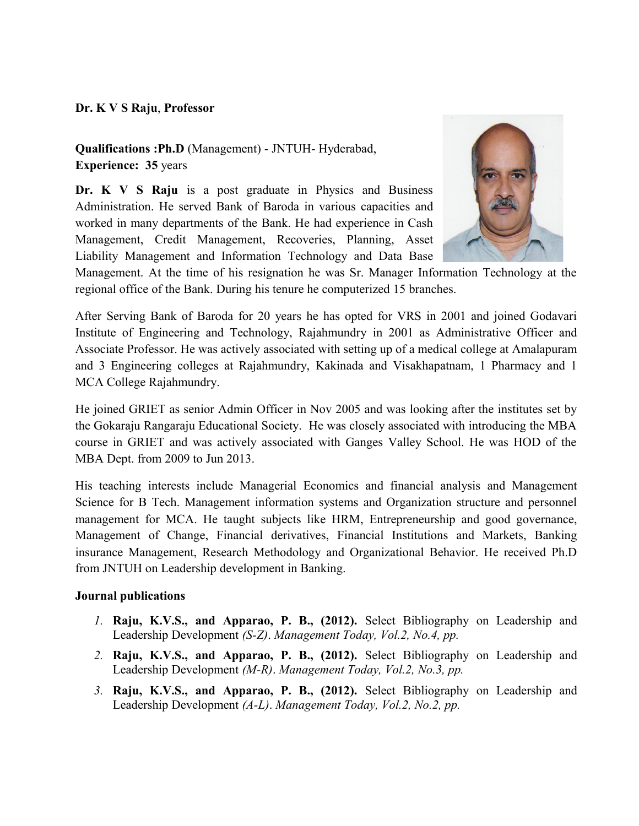### **Dr. K V S Raju**, **Professor**

**Qualifications :Ph.D** (Management) - JNTUH- Hyderabad, **Experience: 35** years

**Dr. K V S Raju** is a post graduate in Physics and Business Administration. He served Bank of Baroda in various capacities and worked in many departments of the Bank. He had experience in Cash Management, Credit Management, Recoveries, Planning, Asset Liability Management and Information Technology and Data Base



Management. At the time of his resignation he was Sr. Manager Information Technology at the regional office of the Bank. During his tenure he computerized 15 branches.

After Serving Bank of Baroda for 20 years he has opted for VRS in 2001 and joined Godavari Institute of Engineering and Technology, Rajahmundry in 2001 as Administrative Officer and Associate Professor. He was actively associated with setting up of a medical college at Amalapuram and 3 Engineering colleges at Rajahmundry, Kakinada and Visakhapatnam, 1 Pharmacy and 1 MCA College Rajahmundry.

He joined GRIET as senior Admin Officer in Nov 2005 and was looking after the institutes set by the Gokaraju Rangaraju Educational Society. He was closely associated with introducing the MBA course in GRIET and was actively associated with Ganges Valley School. He was HOD of the MBA Dept. from 2009 to Jun 2013.

His teaching interests include Managerial Economics and financial analysis and Management Science for B Tech. Management information systems and Organization structure and personnel management for MCA. He taught subjects like HRM, Entrepreneurship and good governance, Management of Change, Financial derivatives, Financial Institutions and Markets, Banking insurance Management, Research Methodology and Organizational Behavior. He received Ph.D from JNTUH on Leadership development in Banking.

### **Journal publications**

- *1.* **Raju, K.V.S., and Apparao, P. B., (2012).** Select Bibliography on Leadership and Leadership Development *(S-Z)*. *Management Today, Vol.2, No.4, pp.*
- *2.* **Raju, K.V.S., and Apparao, P. B., (2012).** Select Bibliography on Leadership and Leadership Development *(M-R)*. *Management Today, Vol.2, No.3, pp.*
- *3.* **Raju, K.V.S., and Apparao, P. B., (2012).** Select Bibliography on Leadership and Leadership Development *(A-L)*. *Management Today, Vol.2, No.2, pp.*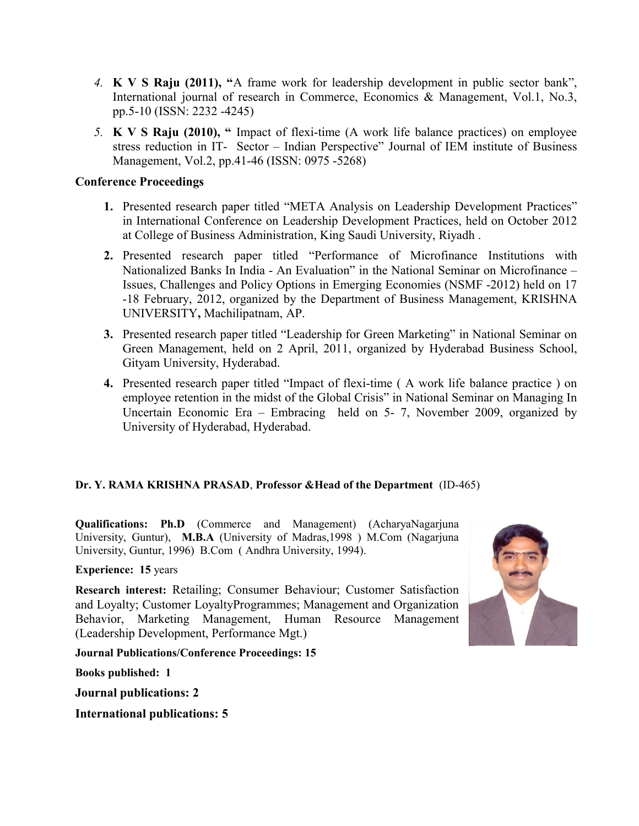- *4.* **K V S Raju (2011), "**A frame work for leadership development in public sector bank", International journal of research in Commerce, Economics & Management, Vol.1, No.3, pp.5-10 (ISSN: 2232 -4245)
- *5.* **K V S Raju (2010), "** Impact of flexi-time (A work life balance practices) on employee stress reduction in IT- Sector – Indian Perspective" Journal of IEM institute of Business Management, Vol.2, pp.41-46 (ISSN: 0975 -5268)

### **Conference Proceedings**

- **1.** Presented research paper titled "META Analysis on Leadership Development Practices" in International Conference on Leadership Development Practices, held on October 2012 at College of Business Administration, King Saudi University, Riyadh .
- **2.** Presented research paper titled "Performance of Microfinance Institutions with Nationalized Banks In India - An Evaluation" in the National Seminar on Microfinance – Issues, Challenges and Policy Options in Emerging Economies (NSMF -2012) held on 17 -18 February, 2012, organized by the Department of Business Management, KRISHNA UNIVERSITY**,** Machilipatnam, AP.
- **3.** Presented research paper titled "Leadership for Green Marketing" in National Seminar on Green Management, held on 2 April, 2011, organized by Hyderabad Business School, Gityam University, Hyderabad.
- **4.** Presented research paper titled "Impact of flexi-time ( A work life balance practice ) on employee retention in the midst of the Global Crisis" in National Seminar on Managing In Uncertain Economic Era – Embracing held on 5- 7, November 2009, organized by University of Hyderabad, Hyderabad.

# **Dr. Y. RAMA KRISHNA PRASAD**, **Professor &Head of the Department** (ID-465)

**Qualifications: Ph.D** (Commerce and Management) (AcharyaNagarjuna University, Guntur), **M.B.A** (University of Madras,1998 ) M.Com (Nagarjuna University, Guntur, 1996) B.Com ( Andhra University, 1994).

**Experience: 15** years

**Research interest:** Retailing; Consumer Behaviour; Customer Satisfaction and Loyalty; Customer LoyaltyProgrammes; Management and Organization Behavior, Marketing Management, Human Resource Management (Leadership Development, Performance Mgt.)



**Journal Publications/Conference Proceedings: 15**

**Books published: 1**

**Journal publications: 2**

**International publications: 5**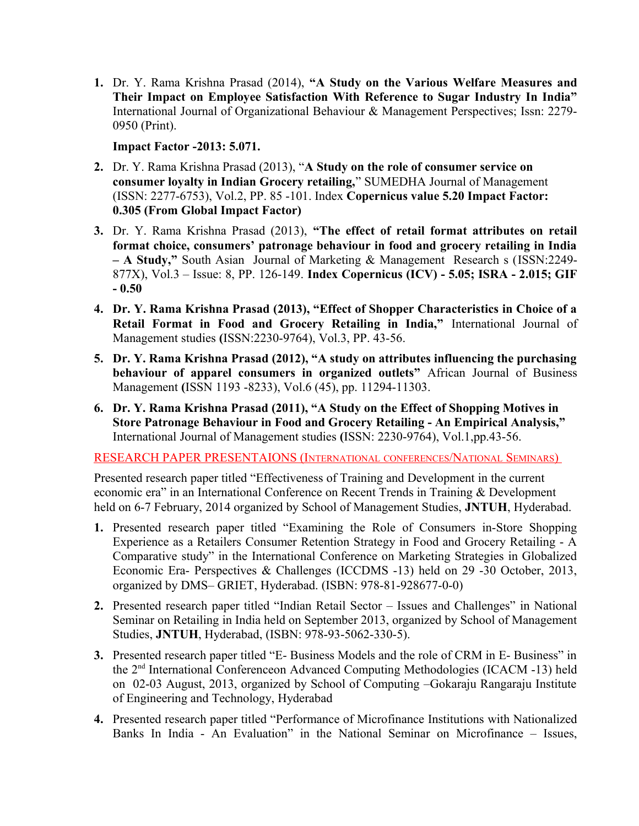**1.** Dr. Y. Rama Krishna Prasad (2014), **"A Study on the Various Welfare Measures and Their Impact on Employee Satisfaction With Reference to Sugar Industry In India"** International Journal of Organizational Behaviour & Management Perspectives; Issn: 2279- 0950 (Print).

**Impact Factor -2013: 5.071.**

- **2.** Dr. Y. Rama Krishna Prasad (2013), "**A Study on the role of consumer service on consumer loyalty in Indian Grocery retailing,**" SUMEDHA Journal of Management (ISSN: 2277-6753), Vol.2, PP. 85 -101. Index **Copernicus value 5.20 Impact Factor: 0.305 (From Global Impact Factor)**
- **3.** Dr. Y. Rama Krishna Prasad (2013), **"The effect of retail format attributes on retail format choice, consumers' patronage behaviour in food and grocery retailing in India – A Study,"** South Asian Journal of Marketing & Management Research s (ISSN:2249- 877X), Vol.3 – Issue: 8, PP. 126-149. **Index Copernicus (ICV) - 5.05; ISRA - 2.015; GIF - 0.50**
- **4. Dr. Y. Rama Krishna Prasad (2013), "Effect of Shopper Characteristics in Choice of a Retail Format in Food and Grocery Retailing in India,"** International Journal of Management studies **(**ISSN:2230-9764), Vol.3, PP. 43-56.
- **5. Dr. Y. Rama Krishna Prasad (2012), "A study on attributes influencing the purchasing behaviour of apparel consumers in organized outlets"** African Journal of Business Management **(**ISSN 1193 -8233), Vol.6 (45), pp. 11294-11303.
- **6. Dr. Y. Rama Krishna Prasad (2011), "A Study on the Effect of Shopping Motives in Store Patronage Behaviour in Food and Grocery Retailing - An Empirical Analysis,"**  International Journal of Management studies **(**ISSN: 2230-9764), Vol.1,pp.43-56.

RESEARCH PAPER PRESENTAIONS (INTERNATIONAL CONFERENCES/NATIONAL SEMINARS)

Presented research paper titled "Effectiveness of Training and Development in the current economic era" in an International Conference on Recent Trends in Training & Development held on 6-7 February, 2014 organized by School of Management Studies, **JNTUH**, Hyderabad.

- **1.** Presented research paper titled "Examining the Role of Consumers in-Store Shopping Experience as a Retailers Consumer Retention Strategy in Food and Grocery Retailing - A Comparative study" in the International Conference on Marketing Strategies in Globalized Economic Era- Perspectives & Challenges (ICCDMS -13) held on 29 -30 October, 2013, organized by DMS– GRIET, Hyderabad. (ISBN: 978-81-928677-0-0)
- **2.** Presented research paper titled "Indian Retail Sector Issues and Challenges" in National Seminar on Retailing in India held on September 2013, organized by School of Management Studies, **JNTUH**, Hyderabad, (ISBN: 978-93-5062-330-5).
- **3.** Presented research paper titled "E- Business Models and the role of CRM in E- Business" in the 2nd International Conferenceon Advanced Computing Methodologies (ICACM -13) held on 02-03 August, 2013, organized by School of Computing –Gokaraju Rangaraju Institute of Engineering and Technology, Hyderabad
- **4.** Presented research paper titled "Performance of Microfinance Institutions with Nationalized Banks In India - An Evaluation" in the National Seminar on Microfinance – Issues,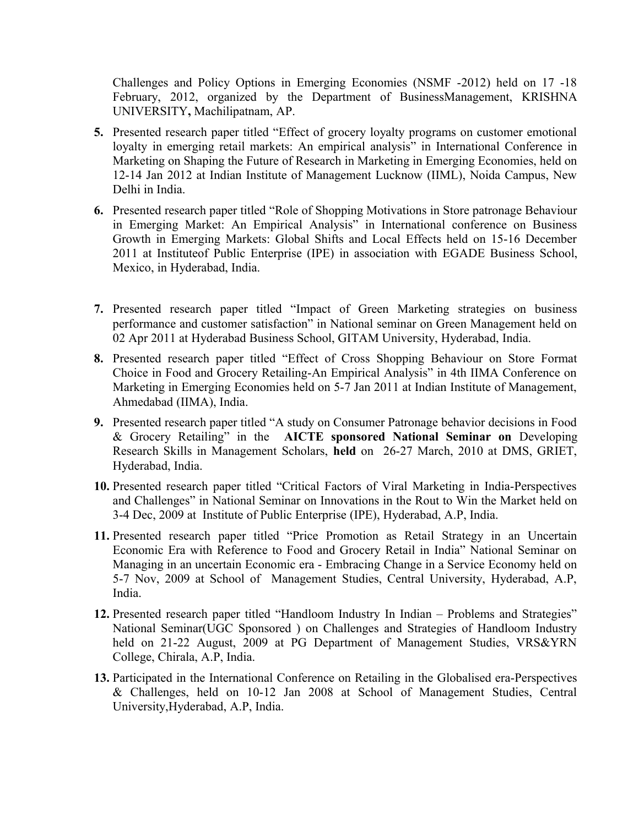Challenges and Policy Options in Emerging Economies (NSMF -2012) held on 17 -18 February, 2012, organized by the Department of BusinessManagement, KRISHNA UNIVERSITY**,** Machilipatnam, AP.

- **5.** Presented research paper titled "Effect of grocery loyalty programs on customer emotional loyalty in emerging retail markets: An empirical analysis" in International Conference in Marketing on Shaping the Future of Research in Marketing in Emerging Economies, held on 12-14 Jan 2012 at Indian Institute of Management Lucknow (IIML), Noida Campus, New Delhi in India.
- **6.** Presented research paper titled "Role of Shopping Motivations in Store patronage Behaviour in Emerging Market: An Empirical Analysis" in International conference on Business Growth in Emerging Markets: Global Shifts and Local Effects held on 15-16 December 2011 at Instituteof Public Enterprise (IPE) in association with EGADE Business School, Mexico, in Hyderabad, India.
- **7.** Presented research paper titled "Impact of Green Marketing strategies on business performance and customer satisfaction" in National seminar on Green Management held on 02 Apr 2011 at Hyderabad Business School, GITAM University, Hyderabad, India.
- **8.** Presented research paper titled "Effect of Cross Shopping Behaviour on Store Format Choice in Food and Grocery Retailing-An Empirical Analysis" in 4th IIMA Conference on Marketing in Emerging Economies held on 5-7 Jan 2011 at Indian Institute of Management, Ahmedabad (IIMA), India.
- **9.** Presented research paper titled "A study on Consumer Patronage behavior decisions in Food & Grocery Retailing" in the **AICTE sponsored National Seminar on** Developing Research Skills in Management Scholars, **held** on 26-27 March, 2010 at DMS, GRIET, Hyderabad, India.
- **10.** Presented research paper titled "Critical Factors of Viral Marketing in India-Perspectives and Challenges" in National Seminar on Innovations in the Rout to Win the Market held on 3-4 Dec, 2009 at Institute of Public Enterprise (IPE), Hyderabad, A.P, India.
- **11.** Presented research paper titled "Price Promotion as Retail Strategy in an Uncertain Economic Era with Reference to Food and Grocery Retail in India" National Seminar on Managing in an uncertain Economic era - Embracing Change in a Service Economy held on 5-7 Nov, 2009 at School of Management Studies, Central University, Hyderabad, A.P, India.
- **12.** Presented research paper titled "Handloom Industry In Indian Problems and Strategies" National Seminar(UGC Sponsored ) on Challenges and Strategies of Handloom Industry held on 21-22 August, 2009 at PG Department of Management Studies, VRS&YRN College, Chirala, A.P, India.
- **13.** Participated in the International Conference on Retailing in the Globalised era-Perspectives & Challenges, held on 10-12 Jan 2008 at School of Management Studies, Central University,Hyderabad, A.P, India.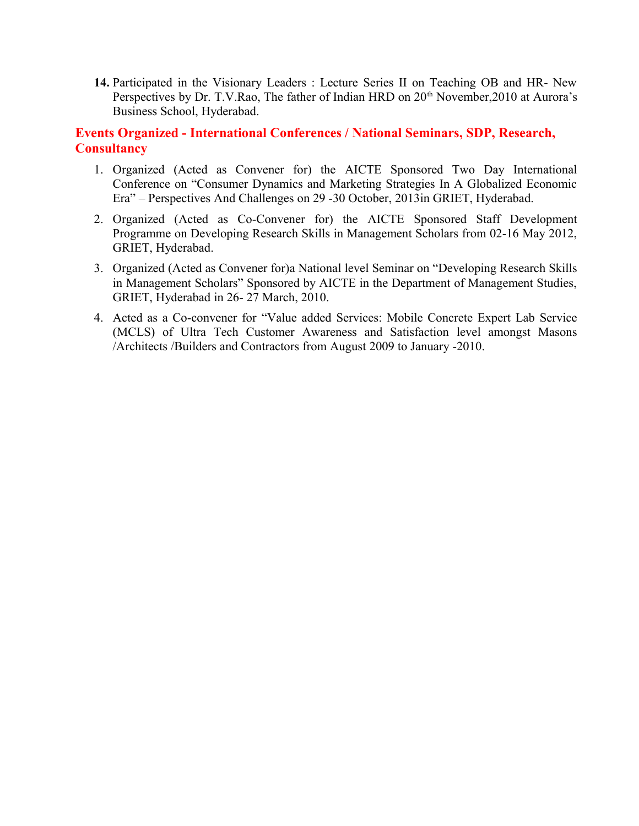**14.** Participated in the Visionary Leaders : Lecture Series II on Teaching OB and HR- New Perspectives by Dr. T.V.Rao, The father of Indian HRD on 20<sup>th</sup> November, 2010 at Aurora's Business School, Hyderabad.

# **Events Organized - International Conferences / National Seminars, SDP, Research, Consultancy**

- 1. Organized (Acted as Convener for) the AICTE Sponsored Two Day International Conference on "Consumer Dynamics and Marketing Strategies In A Globalized Economic Era" – Perspectives And Challenges on 29 -30 October, 2013in GRIET, Hyderabad.
- 2. Organized (Acted as Co-Convener for) the AICTE Sponsored Staff Development Programme on Developing Research Skills in Management Scholars from 02-16 May 2012, GRIET, Hyderabad.
- 3. Organized (Acted as Convener for)a National level Seminar on "Developing Research Skills in Management Scholars" Sponsored by AICTE in the Department of Management Studies, GRIET, Hyderabad in 26- 27 March, 2010.
- 4. Acted as a Co-convener for "Value added Services: Mobile Concrete Expert Lab Service (MCLS) of Ultra Tech Customer Awareness and Satisfaction level amongst Masons /Architects /Builders and Contractors from August 2009 to January -2010.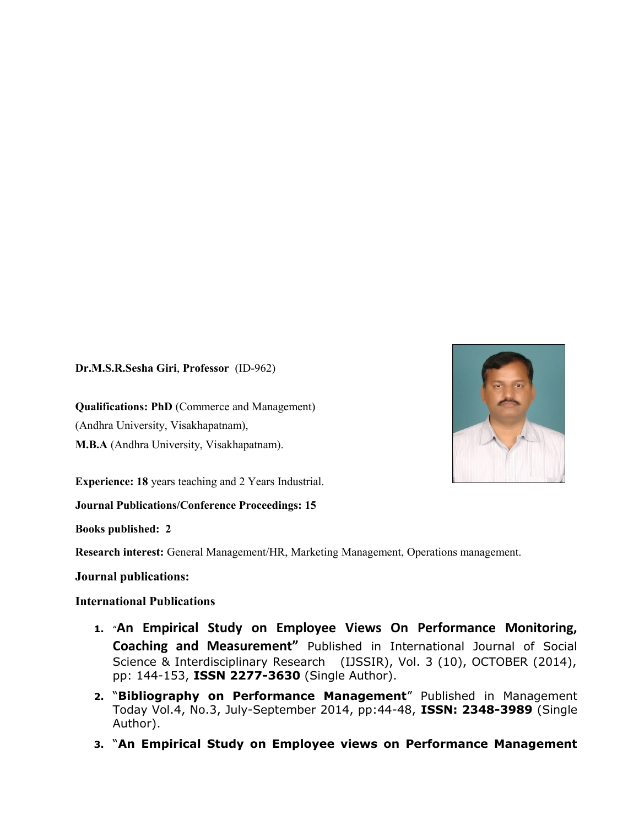**Dr.M.S.R.Sesha Giri**, **Professor** (ID-962)

**Qualifications: PhD** (Commerce and Management) (Andhra University, Visakhapatnam), **M.B.A** (Andhra University, Visakhapatnam).

**Experience: 18** years teaching and 2 Years Industrial.

**Journal Publications/Conference Proceedings: 15**

**Books published: 2**

**Research interest:** General Management/HR, Marketing Management, Operations management.

### **Journal publications:**

### **International Publications**

- **1.** "**An Empirical Study on Employee Views On Performance Monitoring, Coaching and Measurement"** Published in International Journal of Social Science & Interdisciplinary Research (IJSSIR), Vol. 3 (10), OCTOBER (2014), pp: 144-153, **ISSN 2277-3630** (Single Author).
- **2.** "**Bibliography on Performance Management**" Published in Management Today Vol.4, No.3, July-September 2014, pp:44-48, **ISSN: 2348-3989** (Single Author).
- **3.** "**An Empirical Study on Employee views on Performance Management**

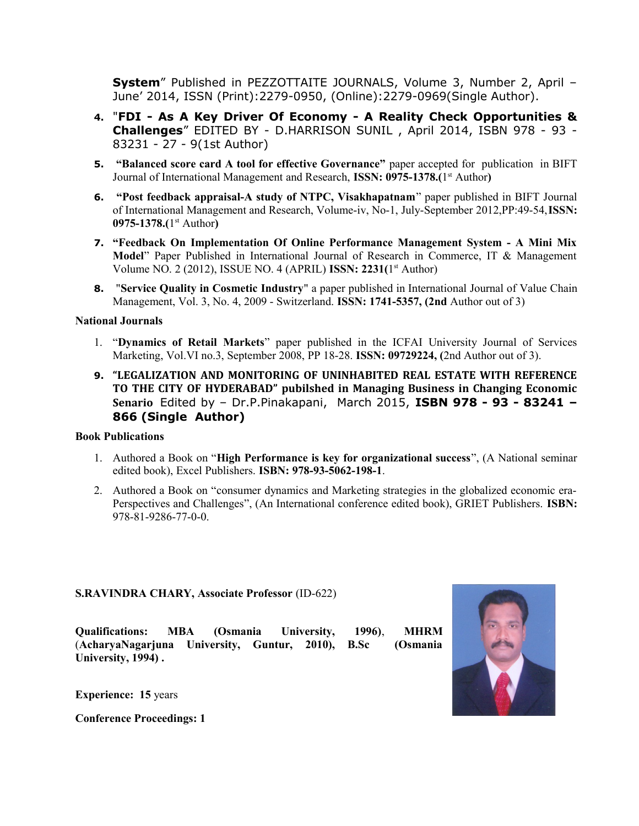**System**" Published in PEZZOTTAITE JOURNALS, Volume 3, Number 2, April – June' 2014, ISSN (Print):2279-0950, (Online):2279-0969(Single Author).

- **4.** "**FDI As A Key Driver Of Economy A Reality Check Opportunities & Challenges**" EDITED BY - D.HARRISON SUNIL , April 2014, ISBN 978 - 93 - 83231 - 27 - 9(1st Author)
- **5. "Balanced score card A tool for effective Governance"** paper accepted for publication in BIFT Journal of International Management and Research, ISSN: 0975-1378.(1<sup>st</sup> Author)
- **6. "Post feedback appraisal-A study of NTPC, Visakhapatnam**" paper published in BIFT Journal of International Management and Research, Volume-iv, No-1, July-September 2012,PP:49-54,**ISSN: 0975-1378.(**1 st Author**)**
- **7. "Feedback On Implementation Of Online Performance Management System A Mini Mix Model**" Paper Published in International Journal of Research in Commerce, IT & Management Volume NO. 2 (2012), ISSUE NO. 4 (APRIL) **ISSN: 2231(**1 st Author)
- **8.** "**Service Quality in Cosmetic Industry**" a paper published in International Journal of Value Chain Management, Vol. 3, No. 4, 2009 - Switzerland. **ISSN: 1741-5357, (2nd** Author out of 3)

### **National Journals**

- 1. "**Dynamics of Retail Markets**" paper published in the ICFAI University Journal of Services Marketing, Vol.VI no.3, September 2008, PP 18-28. **ISSN: 09729224, (**2nd Author out of 3).
- **9. "LEGALIZATION AND MONITORING OF UNINHABITED REAL ESTATE WITH REFERENCE TO THE CITY OF HYDERABAD" pubilshed in Managing Business in Changing Economic Senario** Edited by – Dr.P.Pinakapani, March 2015, **ISBN 978 - 93 - 83241 – 866 (Single Author)**

### **Book Publications**

- 1. Authored a Book on "**High Performance is key for organizational success**", (A National seminar edited book), Excel Publishers. **ISBN: 978-93-5062-198-1**.
- 2. Authored a Book on "consumer dynamics and Marketing strategies in the globalized economic era-Perspectives and Challenges", (An International conference edited book), GRIET Publishers. **ISBN:** 978-81-9286-77-0-0.

### **S.RAVINDRA CHARY, Associate Professor** (ID-622)

**Qualifications: MBA (Osmania University, 1996)**, **MHRM** (**AcharyaNagarjuna University, Guntur, 2010), B.Sc (Osmania University, 1994) .**



**Experience: 15** years

**Conference Proceedings: 1**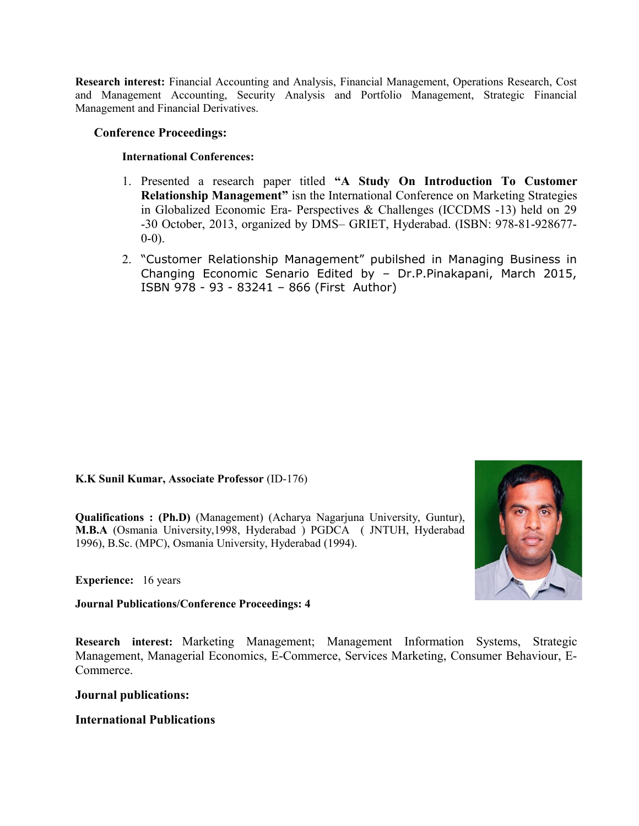**Research interest:** Financial Accounting and Analysis, Financial Management, Operations Research, Cost and Management Accounting, Security Analysis and Portfolio Management, Strategic Financial Management and Financial Derivatives.

### **Conference Proceedings:**

### **International Conferences:**

- 1. Presented a research paper titled **"A Study On Introduction To Customer Relationship Management"** isn the International Conference on Marketing Strategies in Globalized Economic Era- Perspectives & Challenges (ICCDMS -13) held on 29 -30 October, 2013, organized by DMS– GRIET, Hyderabad. (ISBN: 978-81-928677- 0-0).
- 2. "Customer Relationship Management" pubilshed in Managing Business in Changing Economic Senario Edited by – Dr.P.Pinakapani, March 2015, ISBN 978 - 93 - 83241 – 866 (First Author)

**K.K Sunil Kumar, Associate Professor** (ID-176)

**Qualifications : (Ph.D)** (Management) (Acharya Nagarjuna University, Guntur), **M.B.A** (Osmania University,1998, Hyderabad ) PGDCA ( JNTUH, Hyderabad 1996), B.Sc. (MPC), Osmania University, Hyderabad (1994).



**Experience:** 16 years

**Journal Publications/Conference Proceedings: 4**

**Research interest:** Marketing Management; Management Information Systems, Strategic Management, Managerial Economics, E-Commerce, Services Marketing, Consumer Behaviour, E-Commerce.

### **Journal publications:**

### **International Publications**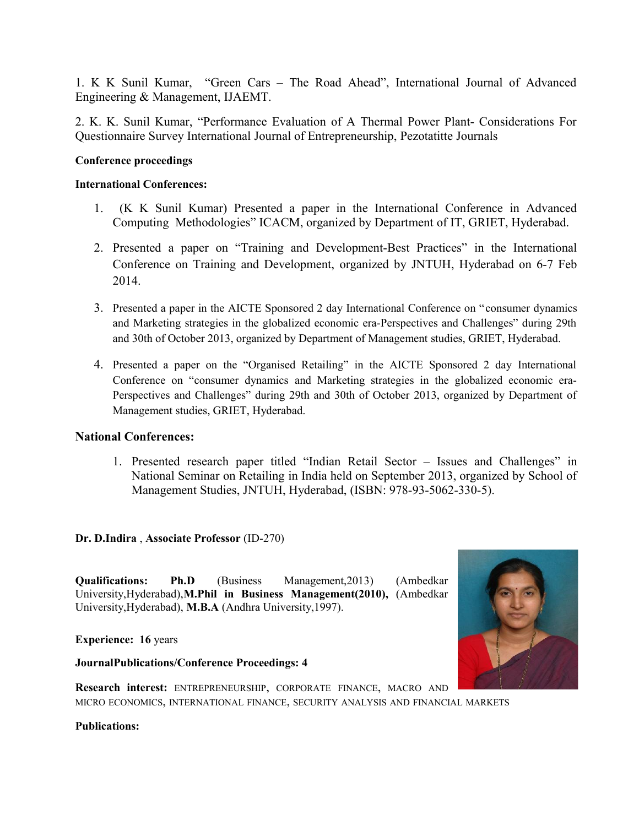1. K K Sunil Kumar, "Green Cars – The Road Ahead", International Journal of Advanced Engineering & Management, IJAEMT.

2. K. K. Sunil Kumar, "Performance Evaluation of A Thermal Power Plant- Considerations For Questionnaire Survey International Journal of Entrepreneurship, Pezotatitte Journals

### **Conference proceedings**

### **International Conferences:**

- 1. (K K Sunil Kumar) Presented a paper in the International Conference in Advanced Computing Methodologies" ICACM, organized by Department of IT, GRIET, Hyderabad.
- 2. Presented a paper on "Training and Development-Best Practices" in the International Conference on Training and Development, organized by JNTUH, Hyderabad on 6-7 Feb 2014.
- 3. Presented a paper in the AICTE Sponsored 2 day International Conference on "consumer dynamics and Marketing strategies in the globalized economic era-Perspectives and Challenges" during 29th and 30th of October 2013, organized by Department of Management studies, GRIET, Hyderabad.
- 4. Presented a paper on the "Organised Retailing" in the AICTE Sponsored 2 day International Conference on "consumer dynamics and Marketing strategies in the globalized economic era-Perspectives and Challenges" during 29th and 30th of October 2013, organized by Department of Management studies, GRIET, Hyderabad.

### **National Conferences:**

1. Presented research paper titled "Indian Retail Sector – Issues and Challenges" in National Seminar on Retailing in India held on September 2013, organized by School of Management Studies, JNTUH, Hyderabad, (ISBN: 978-93-5062-330-5).

**Dr. D.Indira** , **Associate Professor** (ID-270)

**Qualifications: Ph.D** (Business Management,2013) (Ambedkar University,Hyderabad),**M.Phil in Business Management(2010),** (Ambedkar University,Hyderabad), **M.B.A** (Andhra University,1997).

**Experience: 16** years

### **JournalPublications/Conference Proceedings: 4**



**Research interest:** ENTREPRENEURSHIP, CORPORATE FINANCE, MACRO AND MICRO ECONOMICS, INTERNATIONAL FINANCE, SECURITY ANALYSIS AND FINANCIAL MARKETS

**Publications:**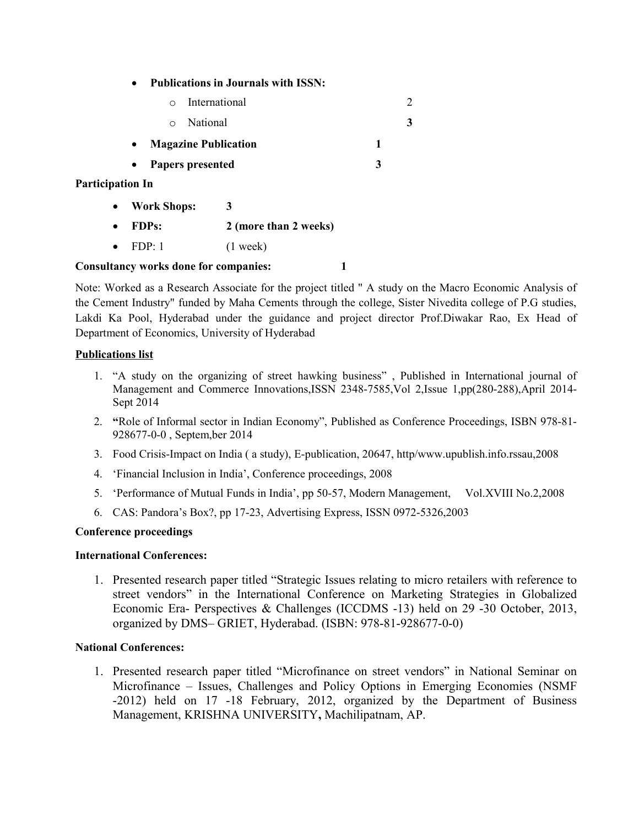**Publications in Journals with ISSN:**

|                         | $\Omega$                                 | International         |   | 2 |
|-------------------------|------------------------------------------|-----------------------|---|---|
|                         | National<br>$\circ$                      |                       |   | 3 |
|                         | <b>Magazine Publication</b><br>$\bullet$ |                       | 1 |   |
|                         | Papers presented<br>$\bullet$            |                       | 3 |   |
| <b>Participation In</b> |                                          |                       |   |   |
| $\bullet$               | <b>Work Shops:</b>                       | 3                     |   |   |
| $\bullet$               | <b>FDPs:</b>                             | 2 (more than 2 weeks) |   |   |
|                         | FDP: 1                                   | $(1$ week)            |   |   |

### **Consultancy works done for companies: 1**

Note: Worked as a Research Associate for the project titled " A study on the Macro Economic Analysis of the Cement Industry" funded by Maha Cements through the college, Sister Nivedita college of P.G studies, Lakdi Ka Pool, Hyderabad under the guidance and project director Prof.Diwakar Rao, Ex Head of Department of Economics, University of Hyderabad

### **Publications list**

- 1. "A study on the organizing of street hawking business" , Published in International journal of Management and Commerce Innovations,ISSN 2348-7585,Vol 2,Issue 1,pp(280-288),April 2014- Sept 2014
- 2. **"**Role of Informal sector in Indian Economy", Published as Conference Proceedings, ISBN 978-81- 928677-0-0 , Septem,ber 2014
- 3. Food Crisis-Impact on India ( a study), E-publication, 20647, http/www.upublish.info.rssau,2008
- 4. 'Financial Inclusion in India', Conference proceedings, 2008
- 5. 'Performance of Mutual Funds in India', pp 50-57, Modern Management, Vol.XVIII No.2,2008
- 6. CAS: Pandora's Box?, pp 17-23, Advertising Express, ISSN 0972-5326,2003

### **Conference proceedings**

### **International Conferences:**

1. Presented research paper titled "Strategic Issues relating to micro retailers with reference to street vendors" in the International Conference on Marketing Strategies in Globalized Economic Era- Perspectives & Challenges (ICCDMS -13) held on 29 -30 October, 2013, organized by DMS– GRIET, Hyderabad. (ISBN: 978-81-928677-0-0)

### **National Conferences:**

1. Presented research paper titled "Microfinance on street vendors" in National Seminar on Microfinance – Issues, Challenges and Policy Options in Emerging Economies (NSMF -2012) held on 17 -18 February, 2012, organized by the Department of Business Management, KRISHNA UNIVERSITY**,** Machilipatnam, AP.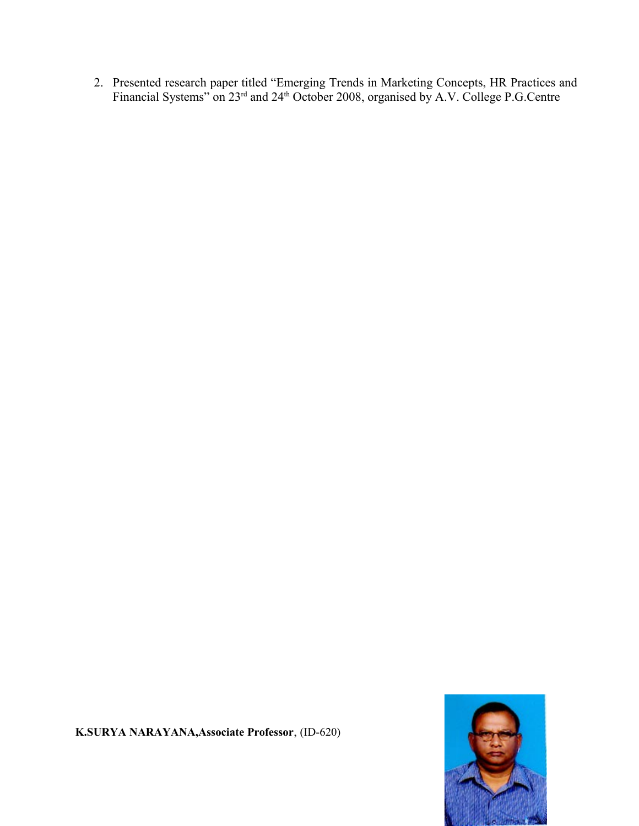2. Presented research paper titled "Emerging Trends in Marketing Concepts, HR Practices and Financial Systems" on 23<sup>rd</sup> and 24<sup>th</sup> October 2008, organised by A.V. College P.G.Centre



**K.SURYA NARAYANA,Associate Professor**, (ID-620)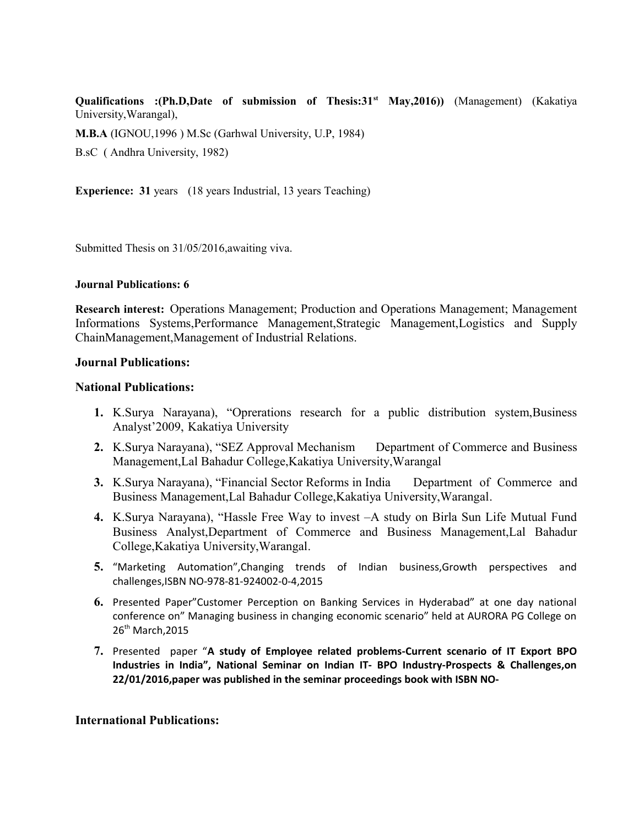**Qualifications :(Ph.D,Date of submission of Thesis:31st May,2016))** (Management) (Kakatiya University,Warangal),

**M.B.A** (IGNOU,1996 ) M.Sc (Garhwal University, U.P, 1984)

B.sC ( Andhra University, 1982)

**Experience: 31** years (18 years Industrial, 13 years Teaching)

Submitted Thesis on 31/05/2016,awaiting viva.

#### **Journal Publications: 6**

**Research interest:** Operations Management; Production and Operations Management; Management Informations Systems,Performance Management,Strategic Management,Logistics and Supply ChainManagement,Management of Industrial Relations.

### **Journal Publications:**

### **National Publications:**

- **1.** K.Surya Narayana), "Oprerations research for a public distribution system,Business Analyst'2009, Kakatiya University
- **2.** K.Surya Narayana), "SEZ Approval Mechanism Department of Commerce and Business Management,Lal Bahadur College,Kakatiya University,Warangal
- **3.** K.Surya Narayana), "Financial Sector Reforms in India Department of Commerce and Business Management,Lal Bahadur College,Kakatiya University,Warangal.
- **4.** K.Surya Narayana), "Hassle Free Way to invest –A study on Birla Sun Life Mutual Fund Business Analyst,Department of Commerce and Business Management,Lal Bahadur College,Kakatiya University,Warangal.
- **5.** "Marketing Automation",Changing trends of Indian business,Growth perspectives and challenges,ISBN NO-978-81-924002-0-4,2015
- **6.** Presented Paper"Customer Perception on Banking Services in Hyderabad" at one day national conference on" Managing business in changing economic scenario" held at AURORA PG College on 26<sup>th</sup> March, 2015
- **7.** Presented paper "**A study of Employee related problems-Current scenario of IT Export BPO Industries in India", National Seminar on Indian IT- BPO Industry-Prospects & Challenges,on 22/01/2016,paper was published in the seminar proceedings book with ISBN NO-**

### **International Publications:**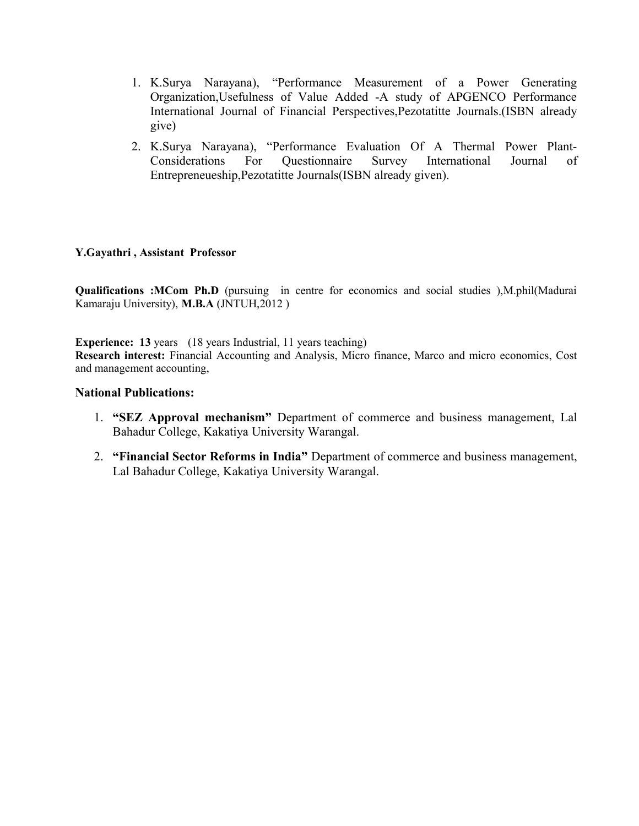- 1. K.Surya Narayana), "Performance Measurement of a Power Generating Organization,Usefulness of Value Added -A study of APGENCO Performance International Journal of Financial Perspectives,Pezotatitte Journals.(ISBN already give)
- 2. K.Surya Narayana), "Performance Evaluation Of A Thermal Power Plant-Considerations For Questionnaire Survey International Journal of Entrepreneueship,Pezotatitte Journals(ISBN already given).

### **Y.Gayathri , Assistant Professor**

**Qualifications :MCom Ph.D** (pursuing in centre for economics and social studies ),M.phil(Madurai Kamaraju University), **M.B.A** (JNTUH,2012 )

**Experience: 13** years (18 years Industrial, 11 years teaching) **Research interest:** Financial Accounting and Analysis, Micro finance, Marco and micro economics, Cost and management accounting,

### **National Publications:**

- 1. **"SEZ Approval mechanism"** Department of commerce and business management, Lal Bahadur College, Kakatiya University Warangal.
- 2. **"Financial Sector Reforms in India"** Department of commerce and business management, Lal Bahadur College, Kakatiya University Warangal.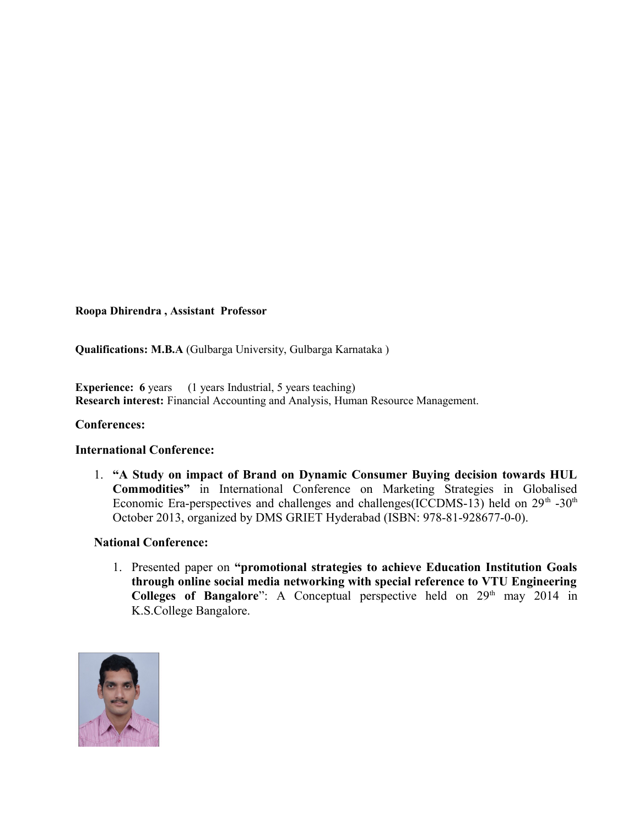### **Roopa Dhirendra , Assistant Professor**

**Qualifications: M.B.A** (Gulbarga University, Gulbarga Karnataka )

**Experience:** 6 years (1 years Industrial, 5 years teaching) **Research interest:** Financial Accounting and Analysis, Human Resource Management.

### **Conferences:**

### **International Conference:**

1. **"A Study on impact of Brand on Dynamic Consumer Buying decision towards HUL Commodities"** in International Conference on Marketing Strategies in Globalised Economic Era-perspectives and challenges and challenges(ICCDMS-13) held on  $29<sup>th</sup>$ -30<sup>th</sup> October 2013, organized by DMS GRIET Hyderabad (ISBN: 978-81-928677-0-0).

### **National Conference:**

1. Presented paper on **"promotional strategies to achieve Education Institution Goals through online social media networking with special reference to VTU Engineering Colleges of Bangalore**": A Conceptual perspective held on 29<sup>th</sup> may 2014 in K.S.College Bangalore.

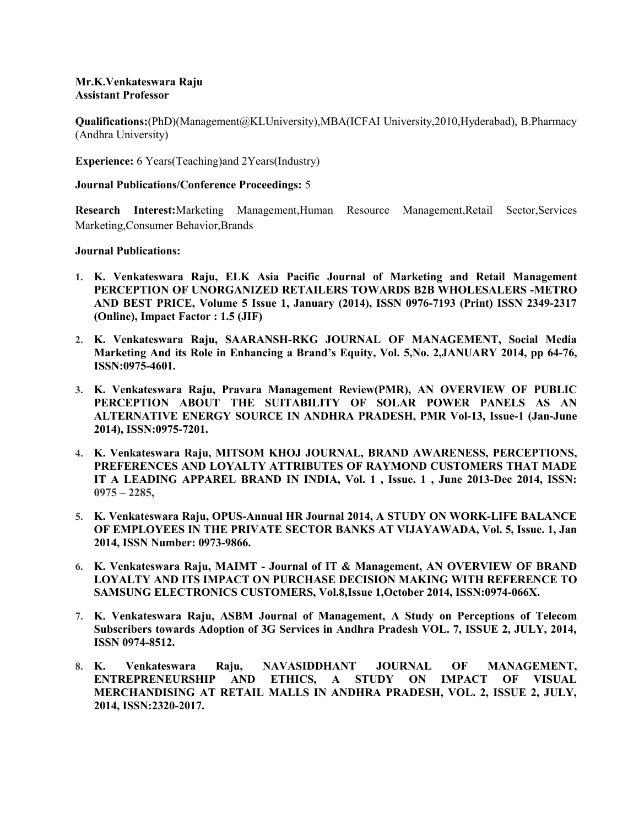#### **Mr.K.Venkateswara Raju Assistant Professor**

**Qualifications:**(PhD)(Management@KLUniversity),MBA(ICFAI University,2010,Hyderabad), B.Pharmacy (Andhra University)

**Experience:** 6 Years(Teaching)and 2Years(Industry)

#### **Journal Publications/Conference Proceedings:** 5

**Research Interest:**Marketing Management,Human Resource Management,Retail Sector,Services Marketing,Consumer Behavior,Brands

#### **Journal Publications:**

- **1. K. Venkateswara Raju, ELK Asia Pacific Journal of Marketing and Retail Management PERCEPTION OF UNORGANIZED RETAILERS TOWARDS B2B WHOLESALERS -METRO AND BEST PRICE, Volume 5 Issue 1, January (2014), ISSN 0976-7193 (Print) ISSN 2349-2317 (Online), Impact Factor : 1.5 (JIF)**
- **2. K. Venkateswara Raju, SAARANSH-RKG JOURNAL OF MANAGEMENT, Social Media Marketing And its Role in Enhancing a Brand's Equity, Vol. 5,No. 2,JANUARY 2014, pp 64-76, ISSN:0975-4601.**
- **3. K. Venkateswara Raju, Pravara Management Review(PMR), AN OVERVIEW OF PUBLIC PERCEPTION ABOUT THE SUITABILITY OF SOLAR POWER PANELS AS AN ALTERNATIVE ENERGY SOURCE IN ANDHRA PRADESH, PMR Vol-13, Issue-1 (Jan-June 2014), ISSN:0975-7201.**
- **4. K. Venkateswara Raju, MITSOM KHOJ JOURNAL, BRAND AWARENESS, PERCEPTIONS, PREFERENCES AND LOYALTY ATTRIBUTES OF RAYMOND CUSTOMERS THAT MADE IT A LEADING APPAREL BRAND IN INDIA, Vol. 1 , Issue. 1 , June 2013-Dec 2014, ISSN: 0975 – 2285,**
- **5. K. Venkateswara Raju, OPUS-Annual HR Journal 2014, A STUDY ON WORK-LIFE BALANCE OF EMPLOYEES IN THE PRIVATE SECTOR BANKS AT VIJAYAWADA, Vol. 5, Issue. 1, Jan 2014, ISSN Number: 0973-9866.**
- **6. K. Venkateswara Raju, MAIMT Journal of IT & Management, AN OVERVIEW OF BRAND LOYALTY AND ITS IMPACT ON PURCHASE DECISION MAKING WITH REFERENCE TO SAMSUNG ELECTRONICS CUSTOMERS, Vol.8,Issue 1,October 2014, ISSN:0974-066X.**
- **7. K. Venkateswara Raju, ASBM Journal of Management, A Study on Perceptions of Telecom Subscribers towards Adoption of 3G Services in Andhra Pradesh VOL. 7, ISSUE 2, JULY, 2014, ISSN 0974-8512.**
- **8. K. Venkateswara Raju, NAVASIDDHANT JOURNAL OF MANAGEMENT, ENTREPRENEURSHIP AND ETHICS, A STUDY ON IMPACT OF VISUAL MERCHANDISING AT RETAIL MALLS IN ANDHRA PRADESH, VOL. 2, ISSUE 2, JULY, 2014, ISSN:2320-2017.**